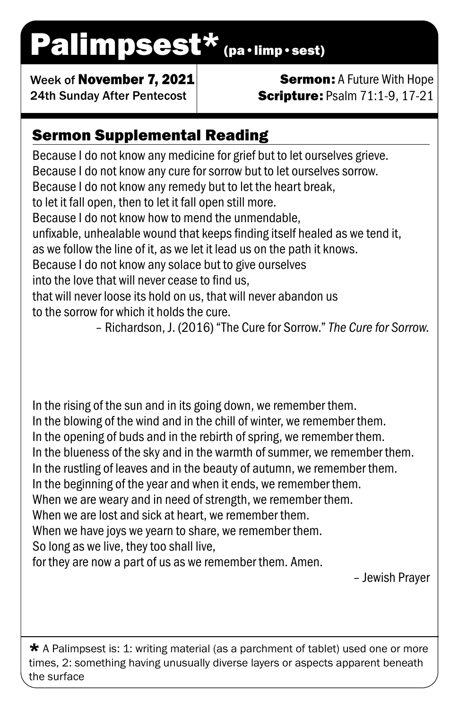# Palimpsest\* (pa·limp·sest)

Week of November 7, 2021 24th Sunday After Pentecost

### **Sermon: A Future With Hope Scripture: Psalm 71:1-9, 17-21**

## Sermon Supplemental Reading

Because I do not know any medicine for grief but to let ourselves grieve. Because I do not know any cure for sorrow but to let ourselves sorrow. Because I do not know any remedy but to let the heart break, to let it fall open, then to let it fall open still more. Because I do not know how to mend the unmendable, unfixable, unhealable wound that keeps finding itself healed as we tend it, as we follow the line of it, as we let it lead us on the path it knows. Because I do not know any solace but to give ourselves into the love that will never cease to find us, that will never loose its hold on us, that will never abandon us to the sorrow for which it holds the cure. – Richardson, J. (2016) "The Cure for Sorrow." *The Cure for Sorrow.*

In the rising of the sun and in its going down, we remember them. In the blowing of the wind and in the chill of winter, we remember them. In the opening of buds and in the rebirth of spring, we remember them. In the blueness of the sky and in the warmth of summer, we remember them. In the rustling of leaves and in the beauty of autumn, we remember them. In the beginning of the year and when it ends, we remember them. When we are weary and in need of strength, we remember them. When we are lost and sick at heart, we remember them. When we have joys we yearn to share, we remember them. So long as we live, they too shall live, for they are now a part of us as we remember them. Amen.

– Jewish Prayer

 $\star$  A Palimpsest is: 1: writing material (as a parchment of tablet) used one or more times, 2: something having unusually diverse layers or aspects apparent beneath the surface